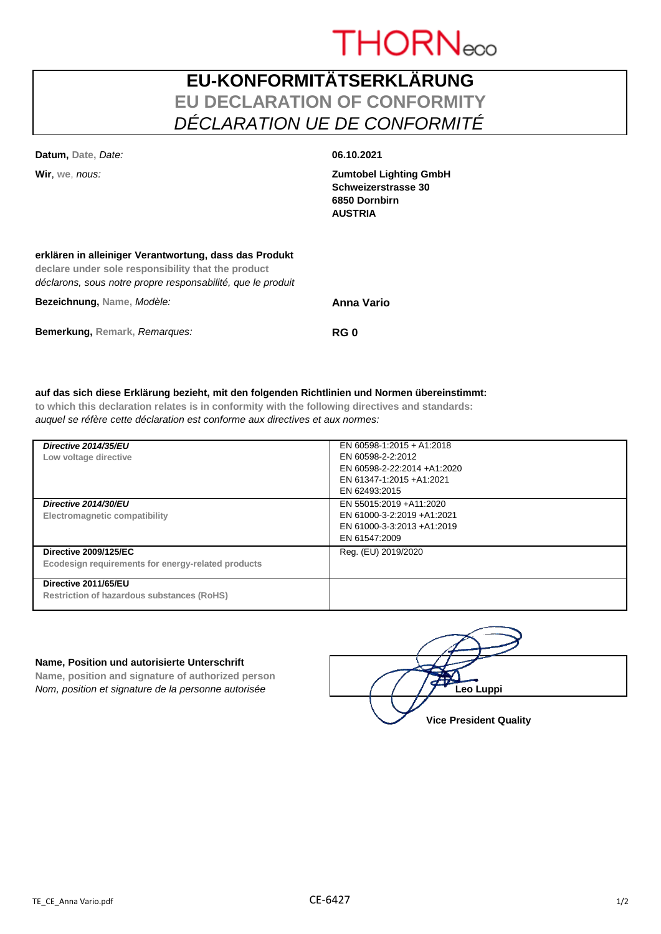# **THORNeco**

# **EU-KONFORMITÄTSERKLÄRUNG EU DECLARATION OF CONFORMITY** *DÉCLARATION UE DE CONFORMITÉ*

| Bezeichnung, Name, Modèle:                                                                                                                                                  | Anna Vario                                                                              |  |
|-----------------------------------------------------------------------------------------------------------------------------------------------------------------------------|-----------------------------------------------------------------------------------------|--|
| erklären in alleiniger Verantwortung, dass das Produkt<br>declare under sole responsibility that the product<br>déclarons, sous notre propre responsabilité, que le produit |                                                                                         |  |
| Wir, we, nous:                                                                                                                                                              | <b>Zumtobel Lighting GmbH</b><br>Schweizerstrasse 30<br>6850 Dornbirn<br><b>AUSTRIA</b> |  |
| Datum, Date, Date:                                                                                                                                                          | 06.10.2021                                                                              |  |

**Bemerkung, Remark,** *Remarques:* **RG 0** 

### **auf das sich diese Erklärung bezieht, mit den folgenden Richtlinien und Normen übereinstimmt:**

**to which this declaration relates is in conformity with the following directives and standards:** *auquel se réfère cette déclaration est conforme aux directives et aux normes:*

| Directive 2014/35/EU<br>Low voltage directive                                      | EN 60598-1:2015 + A1:2018<br>EN 60598-2-2:2012<br>EN 60598-2-22:2014 +A1:2020<br>EN 61347-1:2015 +A1:2021<br>EN 62493:2015 |
|------------------------------------------------------------------------------------|----------------------------------------------------------------------------------------------------------------------------|
| Directive 2014/30/EU<br>Electromagnetic compatibility                              | EN 55015:2019 +A11:2020<br>EN 61000-3-2:2019 +A1:2021<br>EN 61000-3-3:2013 +A1:2019<br>EN 61547:2009                       |
| <b>Directive 2009/125/EC</b><br>Ecodesign requirements for energy-related products | Reg. (EU) 2019/2020                                                                                                        |
| Directive 2011/65/EU<br><b>Restriction of hazardous substances (RoHS)</b>          |                                                                                                                            |

#### **Name, Position und autorisierte Unterschrift**

**Name, position and signature of authorized person** *Nom, position et signature de la personne autorisée* 

| Leo Luppi                     |
|-------------------------------|
| <b>Vice President Quality</b> |